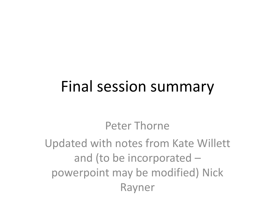#### Final session summary

#### Peter Thorne

Updated with notes from Kate Willett and (to be incorporated – powerpoint may be modified) Nick Rayner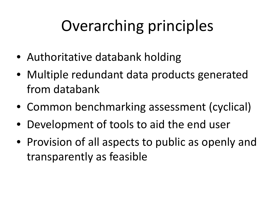## Overarching principles

- Authoritative databank holding
- Multiple redundant data products generated from databank
- Common benchmarking assessment (cyclical)
- Development of tools to aid the end user
- Provision of all aspects to public as openly and transparently as feasible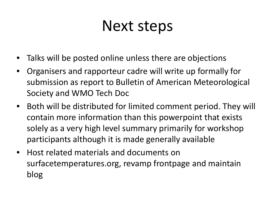#### Next steps

- Talks will be posted online unless there are objections
- Organisers and rapporteur cadre will write up formally for submission as report to Bulletin of American Meteorological Society and WMO Tech Doc
- Both will be distributed for limited comment period. They will contain more information than this powerpoint that exists solely as a very high level summary primarily for workshop participants although it is made generally available
- Host related materials and documents on surfacetemperatures.org, revamp frontpage and maintain blog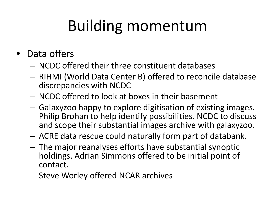# Building momentum

- Data offers
	- NCDC offered their three constituent databases
	- RIHMI (World Data Center B) offered to reconcile database discrepancies with NCDC
	- NCDC offered to look at boxes in their basement
	- Galaxyzoo happy to explore digitisation of existing images. Philip Brohan to help identify possibilities. NCDC to discuss and scope their substantial images archive with galaxyzoo.
	- ACRE data rescue could naturally form part of databank.
	- The major reanalyses efforts have substantial synoptic holdings. Adrian Simmons offered to be initial point of contact.
	- Steve Worley offered NCAR archives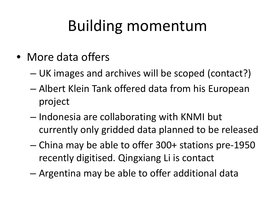## Building momentum

- More data offers
	- UK images and archives will be scoped (contact?)
	- Albert Klein Tank offered data from his European project
	- Indonesia are collaborating with KNMI but currently only gridded data planned to be released
	- China may be able to offer 300+ stations pre-1950 recently digitised. Qingxiang Li is contact
	- Argentina may be able to offer additional data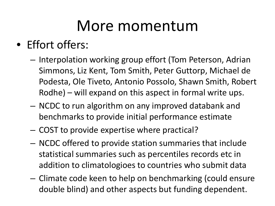#### More momentum

- Effort offers:
	- Interpolation working group effort (Tom Peterson, Adrian Simmons, Liz Kent, Tom Smith, Peter Guttorp, Michael de Podesta, Ole Tiveto, Antonio Possolo, Shawn Smith, Robert Rodhe) – will expand on this aspect in formal write ups.
	- NCDC to run algorithm on any improved databank and benchmarks to provide initial performance estimate
	- COST to provide expertise where practical?
	- NCDC offered to provide station summaries that include statistical summaries such as percentiles records etc in addition to climatologioes to countries who submit data
	- Climate code keen to help on benchmarking (could ensure double blind) and other aspects but funding dependent.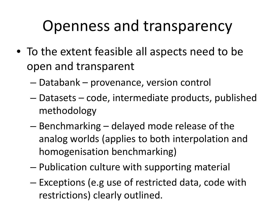#### Openness and transparency

- To the extent feasible all aspects need to be open and transparent
	- Databank provenance, version control
	- Datasets code, intermediate products, published methodology
	- Benchmarking delayed mode release of the analog worlds (applies to both interpolation and homogenisation benchmarking)
	- Publication culture with supporting material
	- Exceptions (e.g use of restricted data, code with restrictions) clearly outlined.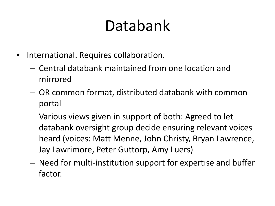## Databank

- International. Requires collaboration.
	- Central databank maintained from one location and mirrored
	- OR common format, distributed databank with common portal
	- Various views given in support of both: Agreed to let databank oversight group decide ensuring relevant voices heard (voices: Matt Menne, John Christy, Bryan Lawrence, Jay Lawrimore, Peter Guttorp, Amy Luers)
	- Need for multi-institution support for expertise and buffer factor.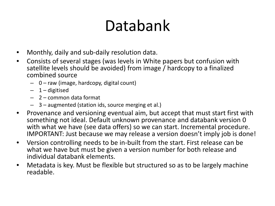#### Databank

- Monthly, daily and sub-daily resolution data.
- Consists of several stages (was levels in White papers but confusion with satellite levels should be avoided) from image / hardcopy to a finalized combined source
	- 0 raw (image, hardcopy, digital count)
	- $-1$  digitised
	- 2 common data format
	- 3 augmented (station ids, source merging et al.)
- Provenance and versioning eventual aim, but accept that must start first with something not ideal. Default unknown provenance and databank version 0 with what we have (see data offers) so we can start. Incremental procedure. IMPORTANT: Just because we may release a version doesn't imply job is done!
- Version controlling needs to be in-built from the start. First release can be what we have but must be given a version number for both release and individual databank elements.
- Metadata is key. Must be flexible but structured so as to be largely machine readable.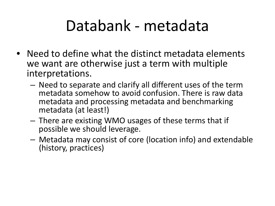#### Databank - metadata

- Need to define what the distinct metadata elements we want are otherwise just a term with multiple interpretations.
	- Need to separate and clarify all different uses of the term metadata somehow to avoid confusion. There is raw data metadata and processing metadata and benchmarking metadata (at least!)
	- There are existing WMO usages of these terms that if possible we should leverage.
	- Metadata may consist of core (location info) and extendable (history, practices)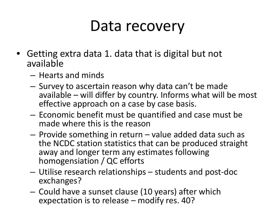#### Data recovery

- Getting extra data 1. data that is digital but not available
	- Hearts and minds
	- Survey to ascertain reason why data can't be made available – will differ by country. Informs what will be most effective approach on a case by case basis.
	- Economic benefit must be quantified and case must be made where this is the reason
	- Provide something in return value added data such as the NCDC station statistics that can be produced straight away and longer term any estimates following homogensiation / QC efforts
	- Utilise research relationships students and post-doc exchanges?
	- Could have a sunset clause (10 years) after which expectation is to release – modify res. 40?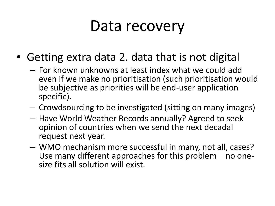#### Data recovery

- Getting extra data 2. data that is not digital
	- For known unknowns at least index what we could add even if we make no prioritisation (such prioritisation would be subjective as priorities will be end-user application specific).
	- Crowdsourcing to be investigated (sitting on many images)
	- Have World Weather Records annually? Agreed to seek opinion of countries when we send the next decadal request next year.
	- WMO mechanism more successful in many, not all, cases? Use many different approaches for this problem – no one- size fits all solution will exist.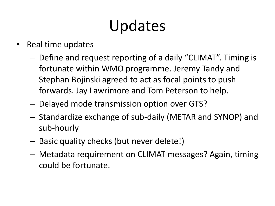## Updates

- Real time updates
	- Define and request reporting of a daily "CLIMAT". Timing is fortunate within WMO programme. Jeremy Tandy and Stephan Bojinski agreed to act as focal points to push forwards. Jay Lawrimore and Tom Peterson to help.
	- Delayed mode transmission option over GTS?
	- Standardize exchange of sub-daily (METAR and SYNOP) and sub-hourly
	- Basic quality checks (but never delete!)
	- Metadata requirement on CLIMAT messages? Again, timing could be fortunate.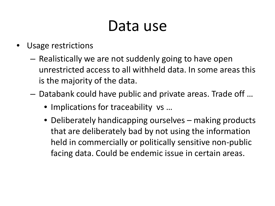#### Data use

- Usage restrictions
	- Realistically we are not suddenly going to have open unrestricted access to all withheld data. In some areas this is the majority of the data.
	- Databank could have public and private areas. Trade off …
		- Implications for traceability vs ...
		- Deliberately handicapping ourselves making products that are deliberately bad by not using the information held in commercially or politically sensitive non-public facing data. Could be endemic issue in certain areas.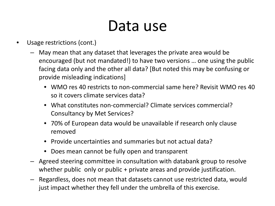#### Data use

- Usage restrictions (cont.)
	- May mean that any dataset that leverages the private area would be encouraged (but not mandated!) to have two versions … one using the public facing data only and the other all data? [But noted this may be confusing or provide misleading indications]
		- WMO res 40 restricts to non-commercial same here? Revisit WMO res 40 so it covers climate services data?
		- What constitutes non-commercial? Climate services commercial? Consultancy by Met Services?
		- 70% of European data would be unavailable if research only clause removed
		- Provide uncertainties and summaries but not actual data?
		- Does mean cannot be fully open and transparent
	- Agreed steering committee in consultation with databank group to resolve whether public only or public + private areas and provide justification.
	- Regardless, does not mean that datasets cannot use restricted data, would just impact whether they fell under the umbrella of this exercise.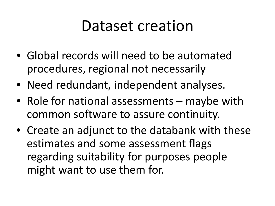#### Dataset creation

- Global records will need to be automated procedures, regional not necessarily
- Need redundant, independent analyses.
- Role for national assessments maybe with common software to assure continuity.
- Create an adjunct to the databank with these estimates and some assessment flags regarding suitability for purposes people might want to use them for.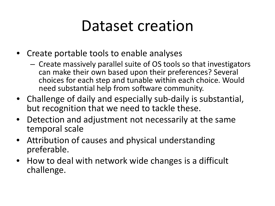#### Dataset creation

- Create portable tools to enable analyses
	- Create massively parallel suite of OS tools so that investigators can make their own based upon their preferences? Several choices for each step and tunable within each choice. Would need substantial help from software community.
- Challenge of daily and especially sub-daily is substantial, but recognition that we need to tackle these.
- Detection and adjustment not necessarily at the same temporal scale
- Attribution of causes and physical understanding preferable.
- How to deal with network wide changes is a difficult challenge.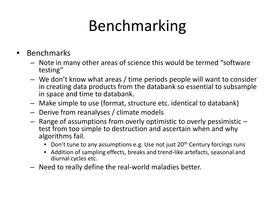# Benchmarking

- **Benchmarks** 
	- Note in many other areas of science this would be termed "software testing"
	- We don't know what areas / time periods people will want to consider in creating data products from the databank so essential to subsample in space and time to databank.
	- Make simple to use (format, structure etc. identical to databank)
	- Derive from reanalyses / climate models
	- Range of assumptions from overly optimistic to overly pessimistic test from too simple to destruction and ascertain when and why algorithms fail.
		- Don't tune to any assumptions e.g. Use not just 20<sup>th</sup> Century forcings runs
		- Addition of sampling effects, breaks and trend-like artefacts, seasonal and diurnal cycles etc.
	- Need to really define the real-world maladies better.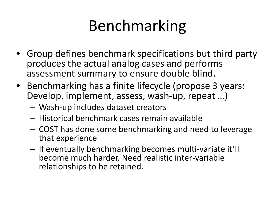## Benchmarking

- Group defines benchmark specifications but third party produces the actual analog cases and performs assessment summary to ensure double blind.
- Benchmarking has a finite lifecycle (propose 3 years: Develop, implement, assess, wash-up, repeat …)
	- Wash-up includes dataset creators
	- Historical benchmark cases remain available
	- COST has done some benchmarking and need to leverage that experience
	- If eventually benchmarking becomes multi-variate it'll become much harder. Need realistic inter-variable relationships to be retained.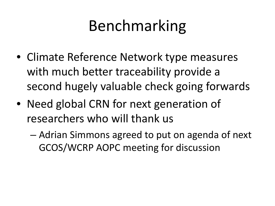## Benchmarking

- Climate Reference Network type measures with much better traceability provide a second hugely valuable check going forwards
- Need global CRN for next generation of researchers who will thank us
	- Adrian Simmons agreed to put on agenda of next GCOS/WCRP AOPC meeting for discussion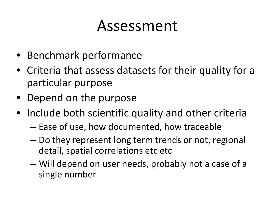#### Assessment

- Benchmark performance
- Criteria that assess datasets for their quality for a particular purpose
- Depend on the purpose
- Include both scientific quality and other criteria
	- Ease of use, how documented, how traceable
	- Do they represent long term trends or not, regional detail, spatial correlations etc etc
	- Will depend on user needs, probably not a case of a single number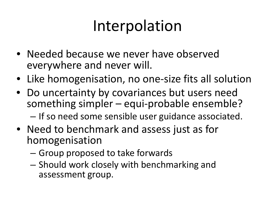#### Interpolation

- Needed because we never have observed everywhere and never will.
- Like homogenisation, no one-size fits all solution
- Do uncertainty by covariances but users need something simpler – equi-probable ensemble? – If so need some sensible user guidance associated.
- Need to benchmark and assess just as for homogenisation
	- Group proposed to take forwards
	- Should work closely with benchmarking and assessment group.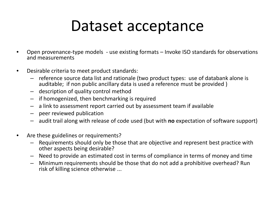#### Dataset acceptance

- Open provenance-type models use existing formats Invoke ISO standards for observations and measurements
- Desirable criteria to meet product standards:
	- reference source data list and rationale (two product types: use of databank alone is auditable; if non public ancillary data is used a reference must be provided )
	- description of quality control method
	- if homogenized, then benchmarking is required
	- a link to assessment report carried out by assessment team if available
	- peer reviewed publication
	- audit trail along with release of code used (but with **no** expectation of software support)
- Are these guidelines or requirements?
	- Requirements should only be those that are objective and represent best practice with other aspects being desirable?
	- Need to provide an estimated cost in terms of compliance in terms of money and time
	- Minimum requirements should be those that do not add a prohibitive overhead? Run risk of killing science otherwise ...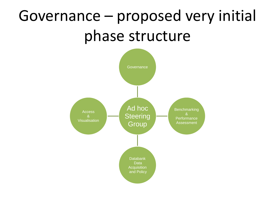## Governance – proposed very initial phase structure

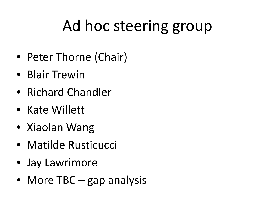## Ad hoc steering group

- Peter Thorne (Chair)
- Blair Trewin
- Richard Chandler
- Kate Willett
- Xiaolan Wang
- Matilde Rusticucci
- Jay Lawrimore
- More TBC gap analysis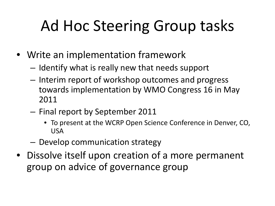## Ad Hoc Steering Group tasks

- Write an implementation framework
	- Identify what is really new that needs support
	- Interim report of workshop outcomes and progress towards implementation by WMO Congress 16 in May 2011
	- Final report by September 2011
		- To present at the WCRP Open Science Conference in Denver, CO, USA
	- Develop communication strategy
- Dissolve itself upon creation of a more permanent group on advice of governance group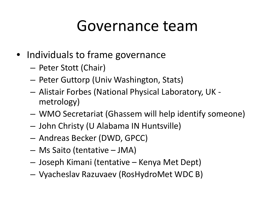#### Governance team

- Individuals to frame governance
	- Peter Stott (Chair)
	- Peter Guttorp (Univ Washington, Stats)
	- Alistair Forbes (National Physical Laboratory, UK metrology)
	- WMO Secretariat (Ghassem will help identify someone)
	- John Christy (U Alabama IN Huntsville)
	- Andreas Becker (DWD, GPCC)
	- Ms Saito (tentative JMA)
	- Joseph Kimani (tentative Kenya Met Dept)
	- Vyacheslav Razuvaev (RosHydroMet WDC B)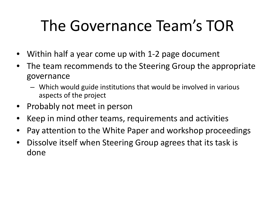## The Governance Team's TOR

- Within half a year come up with 1-2 page document
- The team recommends to the Steering Group the appropriate governance
	- Which would guide institutions that would be involved in various aspects of the project
- Probably not meet in person
- Keep in mind other teams, requirements and activities
- Pay attention to the White Paper and workshop proceedings
- Dissolve itself when Steering Group agrees that its task is done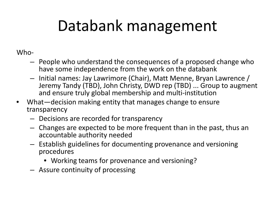## Databank management

#### Who-

- People who understand the consequences of a proposed change who have some independence from the work on the databank
- Initial names: Jay Lawrimore (Chair), Matt Menne, Bryan Lawrence / Jeremy Tandy (TBD), John Christy, DWD rep (TBD) ... Group to augment and ensure truly global membership and multi-institution
- What—decision making entity that manages change to ensure transparency
	- Decisions are recorded for transparency
	- Changes are expected to be more frequent than in the past, thus an accountable authority needed
	- Establish guidelines for documenting provenance and versioning procedures
		- Working teams for provenance and versioning?
	- Assure continuity of processing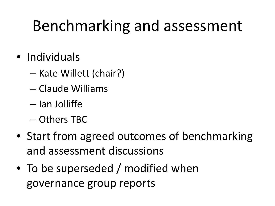#### Benchmarking and assessment

- Individuals
	- Kate Willett (chair?)
	- Claude Williams
	- Ian Jolliffe
	- Others TBC
- Start from agreed outcomes of benchmarking and assessment discussions
- To be superseded / modified when governance group reports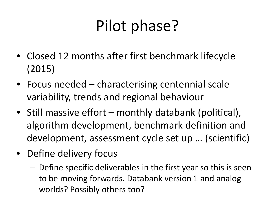## Pilot phase?

- Closed 12 months after first benchmark lifecycle (2015)
- Focus needed characterising centennial scale variability, trends and regional behaviour
- Still massive effort monthly databank (political), algorithm development, benchmark definition and development, assessment cycle set up … (scientific)
- Define delivery focus
	- Define specific deliverables in the first year so this is seen to be moving forwards. Databank version 1 and analog worlds? Possibly others too?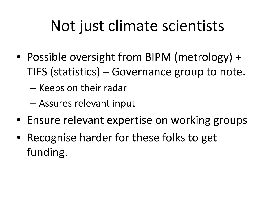## Not just climate scientists

- Possible oversight from BIPM (metrology) + TIES (statistics) – Governance group to note.
	- Keeps on their radar
	- Assures relevant input
- Ensure relevant expertise on working groups
- Recognise harder for these folks to get funding.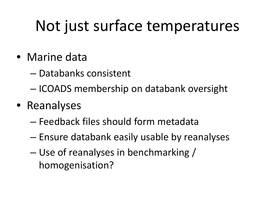#### Not just surface temperatures

- Marine data
	- Databanks consistent
	- ICOADS membership on databank oversight
- Reanalyses
	- Feedback files should form metadata
	- Ensure databank easily usable by reanalyses
	- Use of reanalyses in benchmarking / homogenisation?